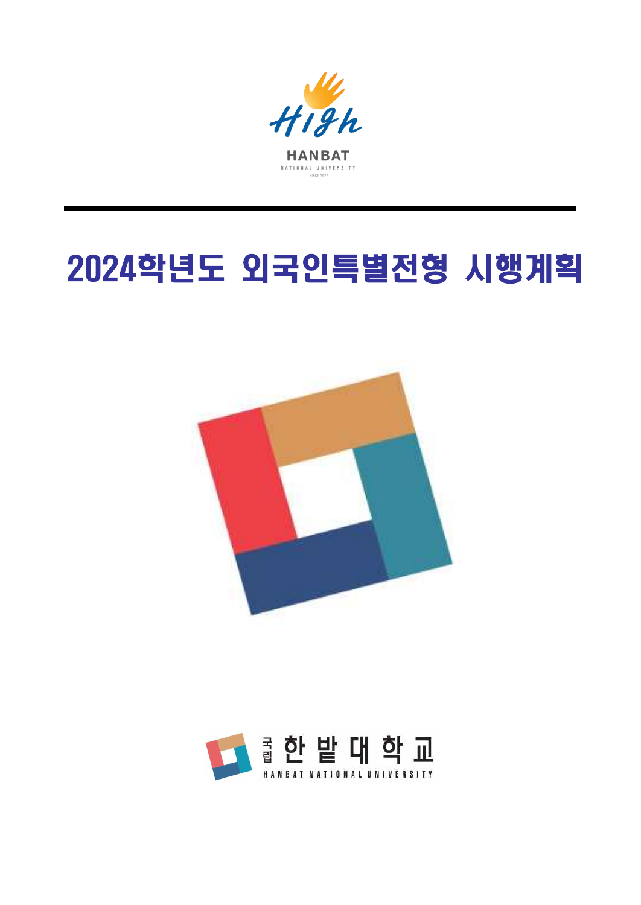

# 2024학년도 외국인특별전형 시행계획



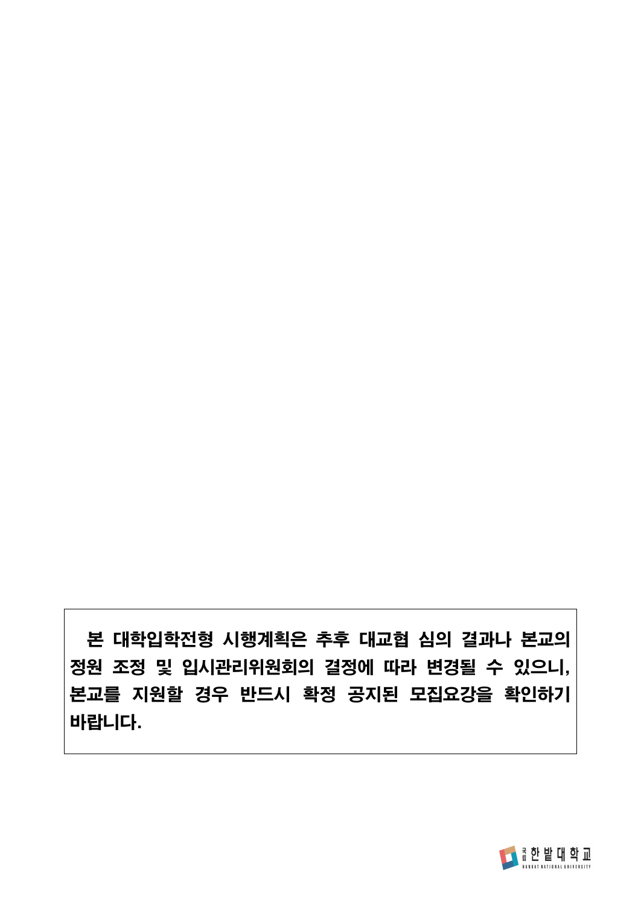본 대학입학전형 시행계획은 추후 대교협 심의 결과나 본교의 정원 조정 및 입시관리위원회의 결정에 따라 변경될 수 있으니, 본교를 지원할 경우 반드시 확정 공지된 모집요강을 확인하기 바랍니다.

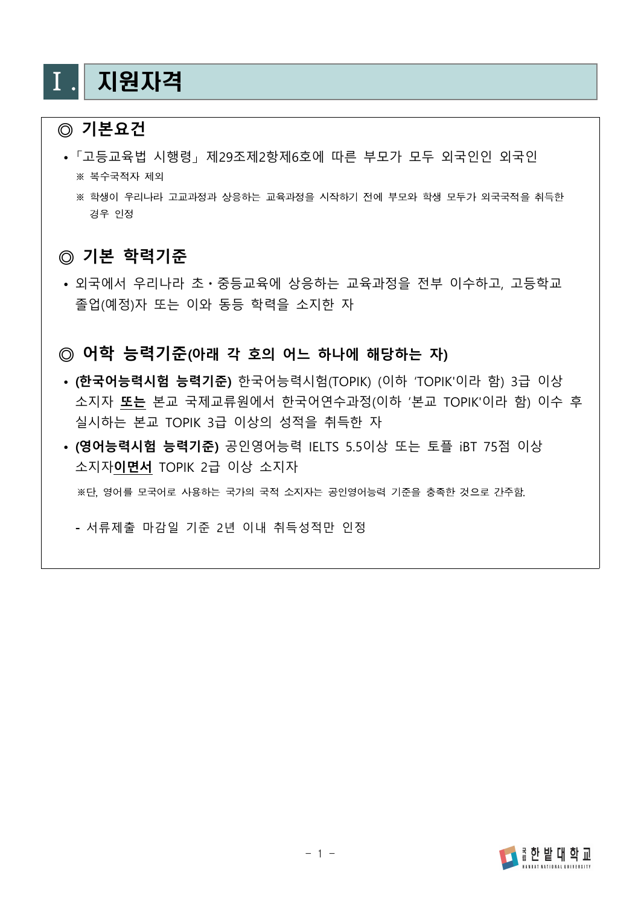### Ⅰ. 지원자격

### **◎ 기본요건**

- 「고등교육법 시행령」 제29조제2항제6호에 따른 부모가 모두 외국인인 외국인 ※ 복수국적자 제외
	- ※ 학생이 우리나라 고교과정과 상응하는 교육과정을 시작하기 전에 부모와 학생 모두가 외국국적을 취득한 경우 인정

#### **◎ 기본 학력기준**

 **•** 외국에서 우리나라 초ㆍ중등교육에 상응하는 교육과정을 전부 이수하고, 고등학교 졸업(예정)자 또는 이와 동등 학력을 소지한 자

#### **◎ 어학 능력기준(아래 각 호의 어느 하나에 해당하는 자)**

- **• (한국어능력시험 능력기준)** 한국어능력시험(TOPIK) (이하 'TOPIK'이라 함) 3급 이상 소지자 **또는** 본교 국제교류원에서 한국어연수과정(이하 '본교 TOPIK'이라 함) 이수 후 실시하는 본교 TOPIK 3급 이상의 성적을 취득한 자
- **• (영어능력시험 능력기준)** 공인영어능력 IELTS 5.5이상 또는 토플 iBT 75점 이상 소지자**이면서** TOPIK 2급 이상 소지자

※단, 영어를 모국어로 사용하는 국가의 국적 소지자는 공인영어능력 기준을 충족한 것으로 간주함.

**-** 서류제출 마감일 기준 2년 이내 취득성적만 인정

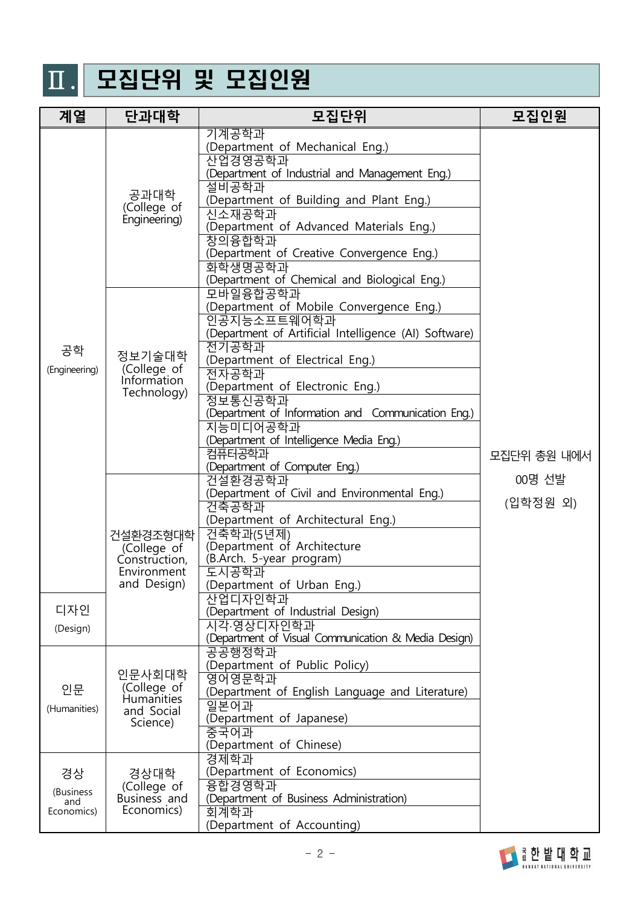# Ⅱ. 모집단위 및 모집인원

| 계열                                   | 단과대학                                                                   | 모집단위                                                                                                                                                                                                                                                                                                                                                                                                   | 모집인원               |
|--------------------------------------|------------------------------------------------------------------------|--------------------------------------------------------------------------------------------------------------------------------------------------------------------------------------------------------------------------------------------------------------------------------------------------------------------------------------------------------------------------------------------------------|--------------------|
|                                      | 공과대학<br>(College of<br>Engineering)                                    | 기계공학과<br>(Department of Mechanical Eng.)<br>산업경영공학과<br>(Department of Industrial and Management Eng.)<br>설비공학과<br>(Department of Building and Plant Eng.)<br>신소재공학과<br>(Department of Advanced Materials Eng.)<br>창의융합학과<br>(Department of Creative Convergence Eng.)<br>화학생명공학과<br>(Department of Chemical and Biological Eng.)<br>모바일융합공학과<br>(Department of Mobile Convergence Eng.)<br>인공지능소프트웨어학과 | 모집단위 총원 내에서        |
| 공학<br>(Engineering)                  | 정보기술대학<br>(College of<br>Information<br>Technology)                    | (Department of Artificial Intelligence (AI) Software)<br>전기공학과<br>(Department of Electrical Eng.)<br>전자공학과<br>(Department of Electronic Eng.)<br>정보통신공학과<br>(Department of Information and Communication Eng.)<br>지능미디어공학과<br>(Department of Intelligence Media Eng.)<br>컴퓨터공학과<br>(Department of Computer Eng.)                                                                                       |                    |
| 디자인                                  | 건설환경조형대학<br>(College of<br>Construction,<br>Environment<br>and Design) | 건설환경공학과<br>(Department of Civil and Environmental Eng.)<br>건축공학과<br>(Department of Architectural Eng.)<br>건축학과(5년제)<br>(Department of Architecture<br>(B.Arch. 5-year program)<br>도시공학과<br>(Department of Urban Eng.)<br>산업디자인학과<br>(Department of Industrial Design)                                                                                                                                  | 00명 선발<br>(입학정원 외) |
| (Design)                             |                                                                        | 시각·영상디자인학과<br>(Department of Visual Communication & Media Design)<br>공공행정학과<br>(Department of Public Policy)                                                                                                                                                                                                                                                                                           |                    |
| 인문<br>(Humanities)                   | 인문사회대학<br>(College of<br><b>Humanities</b><br>and Social<br>Science)   | 영어영문학과<br>(Department of English Language and Literature)<br>일본어과<br>(Department of Japanese)<br>중국어과<br>(Department of Chinese)                                                                                                                                                                                                                                                                       |                    |
| 경상<br>(Business<br>and<br>Economics) | 경상대학<br>(College of<br>Business and<br>Economics)                      | 경제학과<br>(Department of Economics)<br>융합경영학과<br>(Department of Business Administration)<br>회계학과<br>(Department of Accounting)                                                                                                                                                                                                                                                                           |                    |